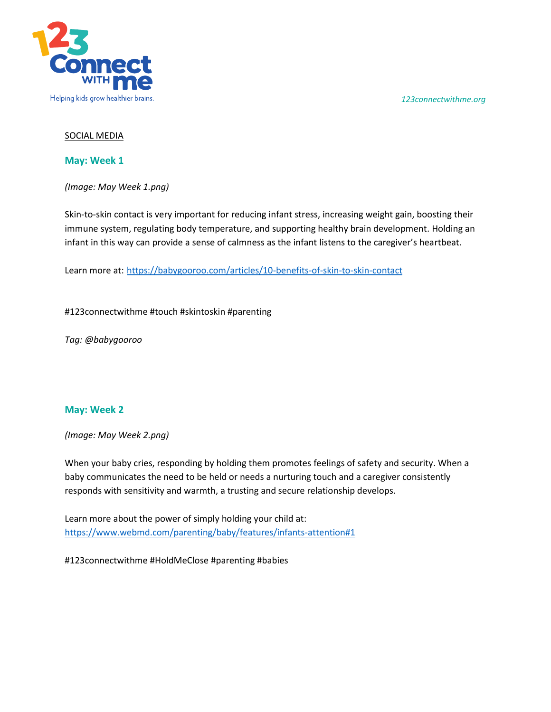*123connectwithme.org*



## SOCIAL MEDIA

**May: Week 1**

*(Image: May Week 1.png)* 

Skin-to-skin contact is very important for reducing infant stress, increasing weight gain, boosting their immune system, regulating body temperature, and supporting healthy brain development. Holding an infant in this way can provide a sense of calmness as the infant listens to the caregiver's heartbeat.

Learn more at: <https://babygooroo.com/articles/10-benefits-of-skin-to-skin-contact>

#123connectwithme #touch #skintoskin #parenting

*Tag: @babygooroo*

## **May: Week 2**

*(Image: May Week 2.png)* 

When your baby cries, responding by holding them promotes feelings of safety and security. When a baby communicates the need to be held or needs a nurturing touch and a caregiver consistently responds with sensitivity and warmth, a trusting and secure relationship develops.

Learn more about the power of simply holding your child at: <https://www.webmd.com/parenting/baby/features/infants-attention#1>

#123connectwithme #HoldMeClose #parenting #babies